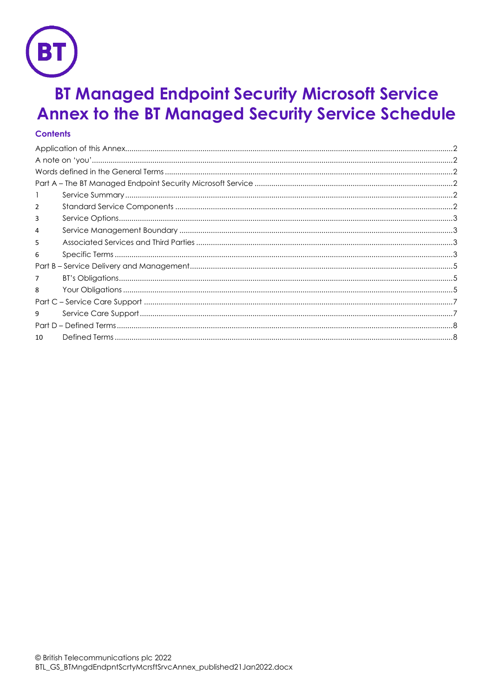

# **BT Managed Endpoint Security Microsoft Service Annex to the BT Managed Security Service Schedule**

# **Contents**

| 2  |  |  |  |  |
|----|--|--|--|--|
| 3  |  |  |  |  |
| 4  |  |  |  |  |
| 5  |  |  |  |  |
| 6  |  |  |  |  |
|    |  |  |  |  |
| 7  |  |  |  |  |
| 8  |  |  |  |  |
|    |  |  |  |  |
| 9  |  |  |  |  |
|    |  |  |  |  |
| 10 |  |  |  |  |
|    |  |  |  |  |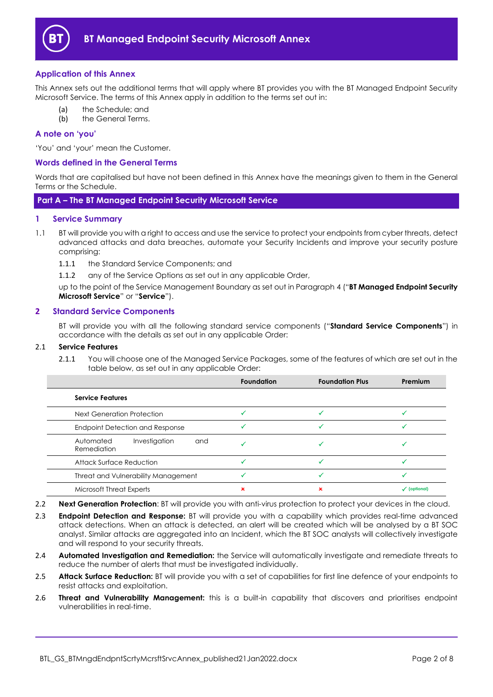

# <span id="page-1-0"></span>**Application of this Annex**

This Annex sets out the additional terms that will apply where BT provides you with the BT Managed Endpoint Security Microsoft Service. The terms of this Annex apply in addition to the terms set out in:

- (a) the Schedule; and
- (b) the General Terms.

# <span id="page-1-1"></span>**A note on 'you'**

'You' and 'your' mean the Customer.

## <span id="page-1-2"></span>**Words defined in the General Terms**

Words that are capitalised but have not been defined in this Annex have the meanings given to them in the General Terms or the Schedule.

<span id="page-1-3"></span>**Part A – The BT Managed Endpoint Security Microsoft Service** 

#### <span id="page-1-4"></span>**1 Service Summary**

- <span id="page-1-10"></span>1.1 BT will provide you with a right to access and use the service to protect your endpoints from cyber threats, detect advanced attacks and data breaches, automate your Security Incidents and improve your security posture comprising:
	- 1.1.1 the Standard Service Components; and

1.1.2 any of the Service Options as set out in any applicable Order,

up to the point of the Service Management Boundary as set out in Paragrap[h 4](#page-2-1) ("**BT Managed Endpoint Security Microsoft Service**" or "**Service**").

#### <span id="page-1-5"></span>**2 Standard Service Components**

BT will provide you with all the following standard service components ("**Standard Service Components**") in accordance with the details as set out in any applicable Order:

#### 2.1 **Service Features**

2.1.1 You will choose one of the Managed Service Packages, some of the features of which are set out in the table below, as set out in any applicable Order:

|                                                  | <b>Foundation</b> | <b>Foundation Plus</b> | Premium                 |
|--------------------------------------------------|-------------------|------------------------|-------------------------|
| <b>Service Features</b>                          |                   |                        |                         |
| Next Generation Protection                       |                   |                        |                         |
| Endpoint Detection and Response                  |                   |                        |                         |
| Investigation<br>Automated<br>and<br>Remediation |                   |                        |                         |
| Attack Surface Reduction                         |                   |                        |                         |
| Threat and Vulnerability Management              |                   |                        |                         |
| <b>Microsoft Threat Experts</b>                  |                   |                        | $\checkmark$ (optional) |

- <span id="page-1-9"></span>2.2 **Next Generation Protection**: BT will provide you with anti-virus protection to protect your devices in the cloud.
- <span id="page-1-8"></span>2.3 **Endpoint Detection and Response:** BT will provide you with a capability which provides real-time advanced attack detections. When an attack is detected, an alert will be created which will be analysed by a BT SOC analyst. Similar attacks are aggregated into an Incident, which the BT SOC analysts will collectively investigate and will respond to your security threats.
- <span id="page-1-7"></span>2.4 **Automated Investigation and Remediation:** the Service will automatically investigate and remediate threats to reduce the number of alerts that must be investigated individually.
- <span id="page-1-6"></span>2.5 **Attack Surface Reduction:** BT will provide you with a set of capabilities for first line defence of your endpoints to resist attacks and exploitation.
- <span id="page-1-11"></span>2.6 **Threat and Vulnerability Management:** this is a built-in capability that discovers and prioritises endpoint vulnerabilities in real-time.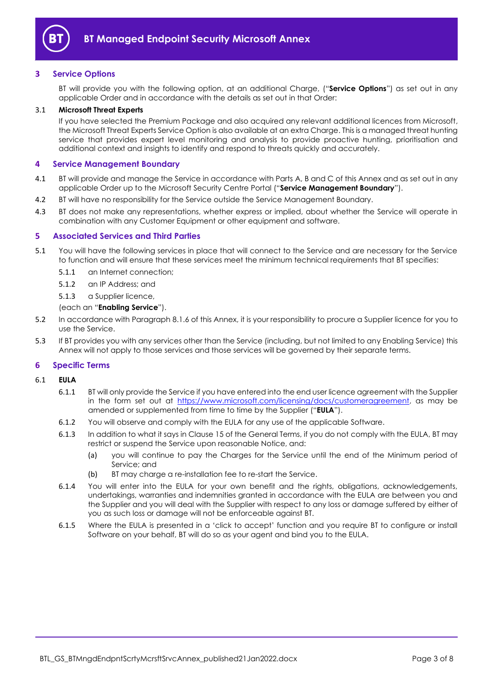

# <span id="page-2-0"></span>**3 Service Options**

BT will provide you with the following option, at an additional Charge, ("**Service Options**") as set out in any applicable Order and in accordance with the details as set out in that Order:

#### <span id="page-2-6"></span>3.1 **Microsoft Threat Experts**

If you have selected the Premium Package and also acquired any relevant additional licences from Microsoft, the Microsoft Threat Experts Service Option is also available at an extra Charge. This is a managed threat hunting service that provides expert level monitoring and analysis to provide proactive hunting, prioritisation and additional context and insights to identify and respond to threats quickly and accurately.

#### <span id="page-2-1"></span>**4 Service Management Boundary**

- <span id="page-2-7"></span>4.1 BT will provide and manage the Service in accordance with Parts A, B and C of this Annex and as set out in any applicable Order up to the Microsoft Security Centre Portal ("**Service Management Boundary**").
- 4.2 BT will have no responsibility for the Service outside the Service Management Boundary.
- 4.3 BT does not make any representations, whether express or implied, about whether the Service will operate in combination with any Customer Equipment or other equipment and software.

#### <span id="page-2-2"></span>**5 Associated Services and Third Parties**

- <span id="page-2-4"></span>5.1 You will have the following services in place that will connect to the Service and are necessary for the Service to function and will ensure that these services meet the minimum technical requirements that BT specifies:
	- 5.1.1 an Internet connection;
	- 5.1.2 an IP Address; and
	- 5.1.3 a Supplier licence,

(each an "**Enabling Service**").

- 5.2 In accordance with Paragraph [8.1.6](#page-4-3) of this Annex, it is your responsibility to procure a Supplier licence for you to use the Service.
- 5.3 If BT provides you with any services other than the Service (including, but not limited to any Enabling Service) this Annex will not apply to those services and those services will be governed by their separate terms.

#### <span id="page-2-3"></span>**6 Specific Terms**

#### <span id="page-2-5"></span>6.1 **EULA**

- 6.1.1 BT will only provide the Service if you have entered into the end user licence agreement with the Supplier in the form set out at [https://www.microsoft.com/licensing/docs/customeragreement,](https://www.microsoft.com/licensing/docs/customeragreement) as may be amended or supplemented from time to time by the Supplier ("**EULA**").
- 6.1.2 You will observe and comply with the EULA for any use of the applicable Software.
- 6.1.3 In addition to what it says in Clause 15 of the General Terms, if you do not comply with the EULA, BT may restrict or suspend the Service upon reasonable Notice, and:
	- (a) you will continue to pay the Charges for the Service until the end of the Minimum period of Service; and
	- (b) BT may charge a re-installation fee to re-start the Service.
- 6.1.4 You will enter into the EULA for your own benefit and the rights, obligations, acknowledgements, undertakings, warranties and indemnities granted in accordance with the EULA are between you and the Supplier and you will deal with the Supplier with respect to any loss or damage suffered by either of you as such loss or damage will not be enforceable against BT.
- 6.1.5 Where the EULA is presented in a 'click to accept' function and you require BT to configure or install Software on your behalf, BT will do so as your agent and bind you to the EULA.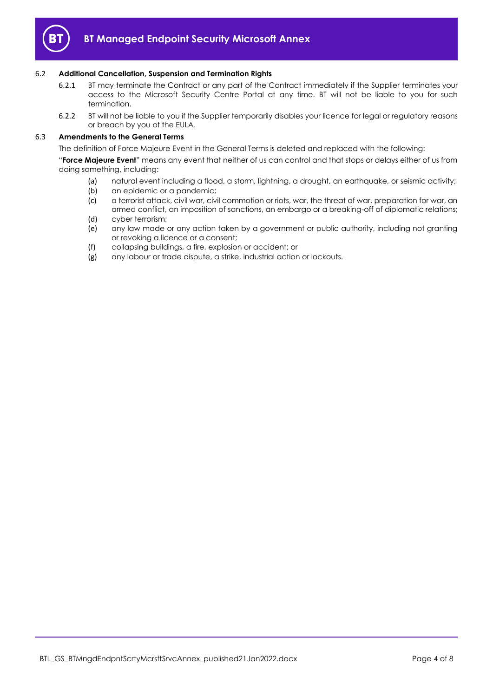

#### 6.2 **Additional Cancellation, Suspension and Termination Rights**

- 6.2.1 BT may terminate the Contract or any part of the Contract immediately if the Supplier terminates your access to the Microsoft Security Centre Portal at any time. BT will not be liable to you for such termination.
- 6.2.2 BT will not be liable to you if the Supplier temporarily disables your licence for legal or regulatory reasons or breach by you of the EULA.

#### 6.3 **Amendments to the General Terms**

The definition of Force Majeure Event in the General Terms is deleted and replaced with the following:

"**Force Majeure Event**" means any event that neither of us can control and that stops or delays either of us from doing something, including:

- (a) natural event including a flood, a storm, lightning, a drought, an earthquake, or seismic activity;
- (b) an epidemic or a pandemic;
- (c) a terrorist attack, civil war, civil commotion or riots, war, the threat of war, preparation for war, an armed conflict, an imposition of sanctions, an embargo or a breaking-off of diplomatic relations;
- (d) cyber terrorism;
- (e) any law made or any action taken by a government or public authority, including not granting or revoking a licence or a consent;
- (f) collapsing buildings, a fire, explosion or accident; or
- (g) any labour or trade dispute, a strike, industrial action or lockouts.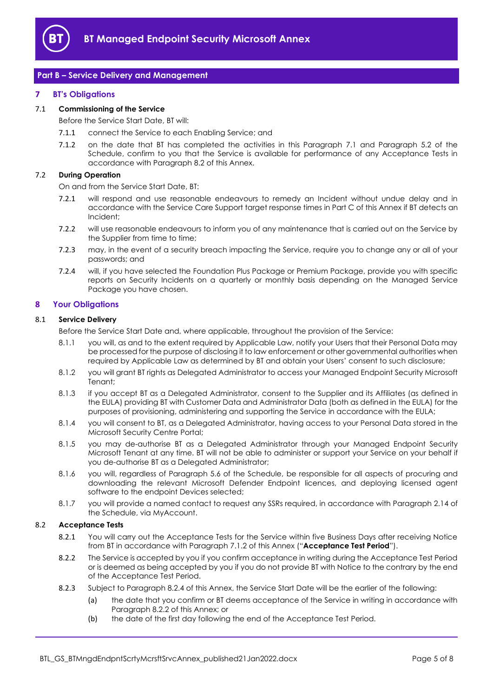

# <span id="page-4-0"></span>**Part B – Service Delivery and Management**

#### <span id="page-4-1"></span>**7 BT's Obligations**

#### <span id="page-4-4"></span>7.1 **Commissioning of the Service**

Before the Service Start Date, BT will:

- 7.1.1 connect the Service to each Enabling Service; and
- <span id="page-4-6"></span>7.1.2 on the date that BT has completed the activities in this Paragraph [7.1](#page-4-4) and Paragraph 5.2 of the Schedule, confirm to you that the Service is available for performance of any Acceptance Tests in accordance with Paragraph [8.2](#page-4-5) of this Annex.

#### 7.2 **During Operation**

On and from the Service Start Date, BT:

- 7.2.1 will respond and use reasonable endeavours to remedy an Incident without undue delay and in accordance with the Service Care Support target response times in Part C of this Annex if BT detects an Incident;
- 7.2.2 will use reasonable endeavours to inform you of any maintenance that is carried out on the Service by the Supplier from time to time;
- 7.2.3 may, in the event of a security breach impacting the Service, require you to change any or all of your passwords; and
- 7.2.4 will, if you have selected the Foundation Plus Package or Premium Package, provide you with specific reports on Security Incidents on a quarterly or monthly basis depending on the Managed Service Package you have chosen.

#### <span id="page-4-2"></span>**8 Your Obligations**

#### 8.1 **Service Delivery**

- Before the Service Start Date and, where applicable, throughout the provision of the Service:
- 8.1.1 you will, as and to the extent required by Applicable Law, notify your Users that their Personal Data may be processed for the purpose of disclosing it to law enforcement or other governmental authorities when required by Applicable Law as determined by BT and obtain your Users' consent to such disclosure;
- 8.1.2 you will grant BT rights as Delegated Administrator to access your Managed Endpoint Security Microsoft Tenant;
- 8.1.3 if you accept BT as a Delegated Administrator, consent to the Supplier and its Affiliates (as defined in the EULA) providing BT with Customer Data and Administrator Data (both as defined in the EULA) for the purposes of provisioning, administering and supporting the Service in accordance with the EULA;
- 8.1.4 you will consent to BT, as a Delegated Administrator, having access to your Personal Data stored in the Microsoft Security Centre Portal;
- 8.1.5 you may de-authorise BT as a Delegated Administrator through your Managed Endpoint Security Microsoft Tenant at any time. BT will not be able to administer or support your Service on your behalf if you de-authorise BT as a Delegated Administrator;
- <span id="page-4-3"></span>8.1.6 you will, regardless of Paragraph 5.6 of the Schedule, be responsible for all aspects of procuring and downloading the relevant Microsoft Defender Endpoint licences, and deploying licensed agent software to the endpoint Devices selected;
- 8.1.7 you will provide a named contact to request any SSRs required, in accordance with Paragraph 2.14 of the Schedule, via MyAccount.

#### <span id="page-4-8"></span><span id="page-4-5"></span>8.2 **Acceptance Tests**

- 8.2.1 You will carry out the Acceptance Tests for the Service within five Business Days after receiving Notice from BT in accordance with Paragraph [7.1.2](#page-4-6) of this Annex ("**Acceptance Test Period**").
- <span id="page-4-7"></span>8.2.2 The Service is accepted by you if you confirm acceptance in writing during the Acceptance Test Period or is deemed as being accepted by you if you do not provide BT with Notice to the contrary by the end of the Acceptance Test Period.
- 8.2.3 Subject to Paragraph [8.2.4](#page-5-0) of this Annex, the Service Start Date will be the earlier of the following:
	- (a) the date that you confirm or BT deems acceptance of the Service in writing in accordance with Paragraph [8.2.2](#page-4-7) of this Annex; or
	- (b) the date of the first day following the end of the Acceptance Test Period.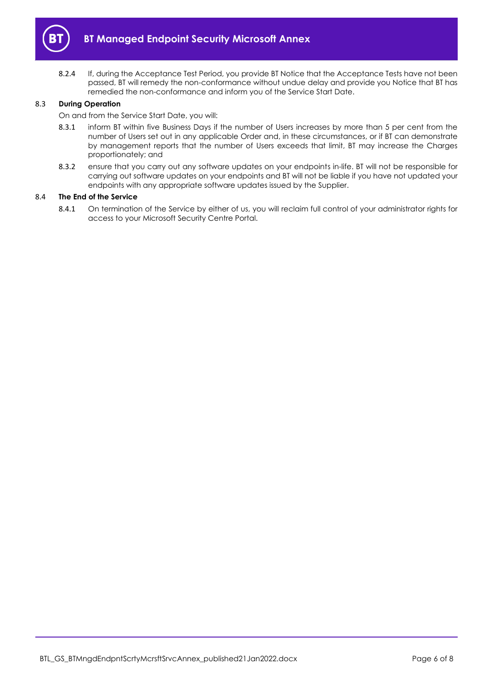

<span id="page-5-0"></span>8.2.4 If, during the Acceptance Test Period, you provide BT Notice that the Acceptance Tests have not been passed, BT will remedy the non-conformance without undue delay and provide you Notice that BT has remedied the non-conformance and inform you of the Service Start Date.

# 8.3 **During Operation**

On and from the Service Start Date, you will:

- 8.3.1 inform BT within five Business Days if the number of Users increases by more than 5 per cent from the number of Users set out in any applicable Order and, in these circumstances, or if BT can demonstrate by management reports that the number of Users exceeds that limit, BT may increase the Charges proportionately; and
- 8.3.2 ensure that you carry out any software updates on your endpoints in-life. BT will not be responsible for carrying out software updates on your endpoints and BT will not be liable if you have not updated your endpoints with any appropriate software updates issued by the Supplier.

# 8.4 **The End of the Service**

8.4.1 On termination of the Service by either of us, you will reclaim full control of your administrator rights for access to your Microsoft Security Centre Portal.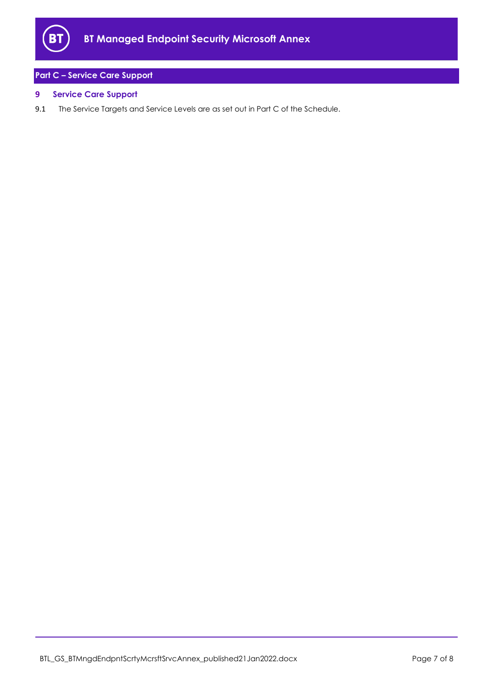

# <span id="page-6-0"></span>**Part C – Service Care Support**

# <span id="page-6-1"></span>**9 Service Care Support**

9.1 The Service Targets and Service Levels are as set out in Part C of the Schedule.